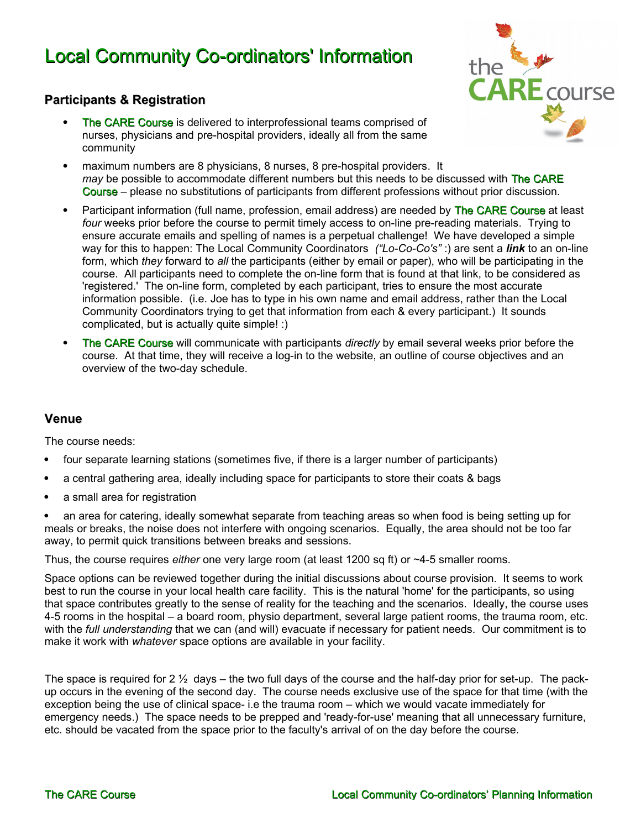# Local Community Co-ordinators' Information

# the

#### **Participants & Registration**

- The CARE Course is delivered to interprofessional teams comprised of nurses, physicians and pre-hospital providers, ideally all from the same community
- maximum numbers are 8 physicians, 8 nurses, 8 pre-hospital providers. It *may* be possible to accommodate different numbers but this needs to be discussed with The CARE Course – please no substitutions of participants from different professions without prior discussion.
- Participant information (full name, profession, email address) are needed by The CARE Course at least *four* weeks prior before the course to permit timely access to on-line pre-reading materials. Trying to ensure accurate emails and spelling of names is a perpetual challenge! We have developed a simple way for this to happen: The Local Community Coordinators *("Lo-Co-Co's"* :) are sent a *link* to an on-line form, which *they* forward to *all* the participants (either by email or paper), who will be participating in the course. All participants need to complete the on-line form that is found at that link, to be considered as 'registered.' The on-line form, completed by each participant, tries to ensure the most accurate information possible. (i.e. Joe has to type in his own name and email address, rather than the Local Community Coordinators trying to get that information from each & every participant.) It sounds complicated, but is actually quite simple! :)
- The CARE Course will communicate with participants *directly* by email several weeks prior before the course. At that time, they will receive a log-in to the website, an outline of course objectives and an overview of the two-day schedule.

#### **Venue**

The course needs:

- four separate learning stations (sometimes five, if there is a larger number of participants)
- a central gathering area, ideally including space for participants to store their coats & bags
- a small area for registration

 an area for catering, ideally somewhat separate from teaching areas so when food is being setting up for meals or breaks, the noise does not interfere with ongoing scenarios. Equally, the area should not be too far away, to permit quick transitions between breaks and sessions.

Thus, the course requires *either* one very large room (at least 1200 sq ft) or ~4-5 smaller rooms.

Space options can be reviewed together during the initial discussions about course provision. It seems to work best to run the course in your local health care facility. This is the natural 'home' for the participants, so using that space contributes greatly to the sense of reality for the teaching and the scenarios. Ideally, the course uses 4-5 rooms in the hospital – a board room, physio department, several large patient rooms, the trauma room, etc. with the *full understanding* that we can (and will) evacuate if necessary for patient needs. Our commitment is to make it work with *whatever* space options are available in your facility.

The space is required for 2  $\frac{1}{2}$  days – the two full days of the course and the half-day prior for set-up. The packup occurs in the evening of the second day. The course needs exclusive use of the space for that time (with the exception being the use of clinical space- i.e the trauma room – which we would vacate immediately for emergency needs.) The space needs to be prepped and 'ready-for-use' meaning that all unnecessary furniture, etc. should be vacated from the space prior to the faculty's arrival of on the day before the course.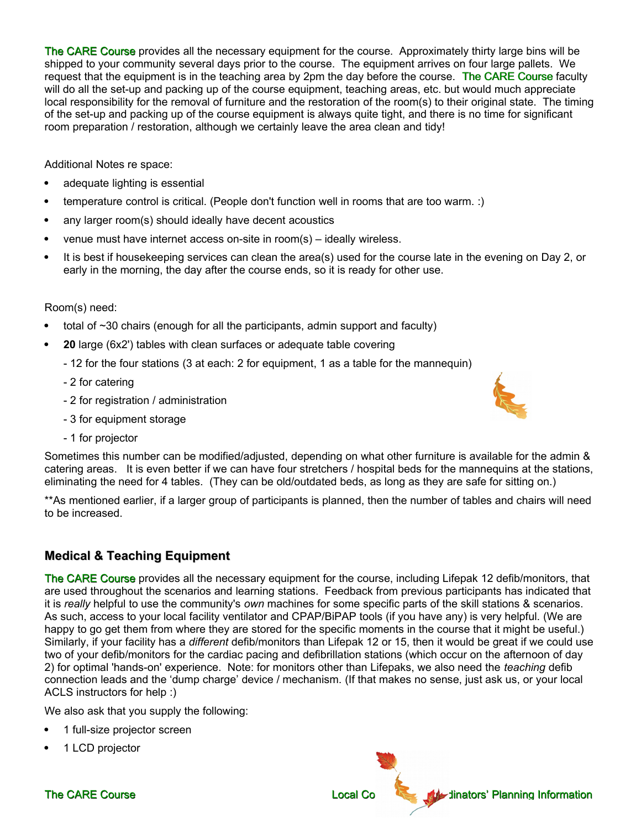The CARE Course provides all the necessary equipment for the course. Approximately thirty large bins will be shipped to your community several days prior to the course. The equipment arrives on four large pallets. We request that the equipment is in the teaching area by 2pm the day before the course. The CARE Course faculty will do all the set-up and packing up of the course equipment, teaching areas, etc. but would much appreciate local responsibility for the removal of furniture and the restoration of the room(s) to their original state. The timing of the set-up and packing up of the course equipment is always quite tight, and there is no time for significant room preparation / restoration, although we certainly leave the area clean and tidy!

Additional Notes re space:

- adequate lighting is essential
- temperature control is critical. (People don't function well in rooms that are too warm. :)
- any larger room(s) should ideally have decent acoustics
- venue must have internet access on-site in room(s) ideally wireless.
- It is best if housekeeping services can clean the area(s) used for the course late in the evening on Day 2, or early in the morning, the day after the course ends, so it is ready for other use.

Room(s) need:

- total of ~30 chairs (enough for all the participants, admin support and faculty)
- **20** large (6x2') tables with clean surfaces or adequate table covering
	- 12 for the four stations (3 at each: 2 for equipment, 1 as a table for the mannequin)
	- 2 for catering
	- 2 for registration / administration
	- 3 for equipment storage
	- 1 for projector



Sometimes this number can be modified/adjusted, depending on what other furniture is available for the admin & catering areas. It is even better if we can have four stretchers / hospital beds for the mannequins at the stations, eliminating the need for 4 tables. (They can be old/outdated beds, as long as they are safe for sitting on.)

\*\*As mentioned earlier, if a larger group of participants is planned, then the number of tables and chairs will need to be increased.

# **Medical & Teaching Equipment**

The CARE Course provides all the necessary equipment for the course, including Lifepak 12 defib/monitors, that are used throughout the scenarios and learning stations. Feedback from previous participants has indicated that it is *really* helpful to use the community's *own* machines for some specific parts of the skill stations & scenarios. As such, access to your local facility ventilator and CPAP/BiPAP tools (if you have any) is very helpful. (We are happy to go get them from where they are stored for the specific moments in the course that it might be useful.) Similarly, if your facility has a *different* defib/monitors than Lifepak 12 or 15, then it would be great if we could use two of your defib/monitors for the cardiac pacing and defibrillation stations (which occur on the afternoon of day 2) for optimal 'hands-on' experience. Note: for monitors other than Lifepaks, we also need the *teaching* defib connection leads and the 'dump charge' device / mechanism. (If that makes no sense, just ask us, or your local ACLS instructors for help :)

We also ask that you supply the following:

- 1 full-size projector screen
- 1 LCD projector

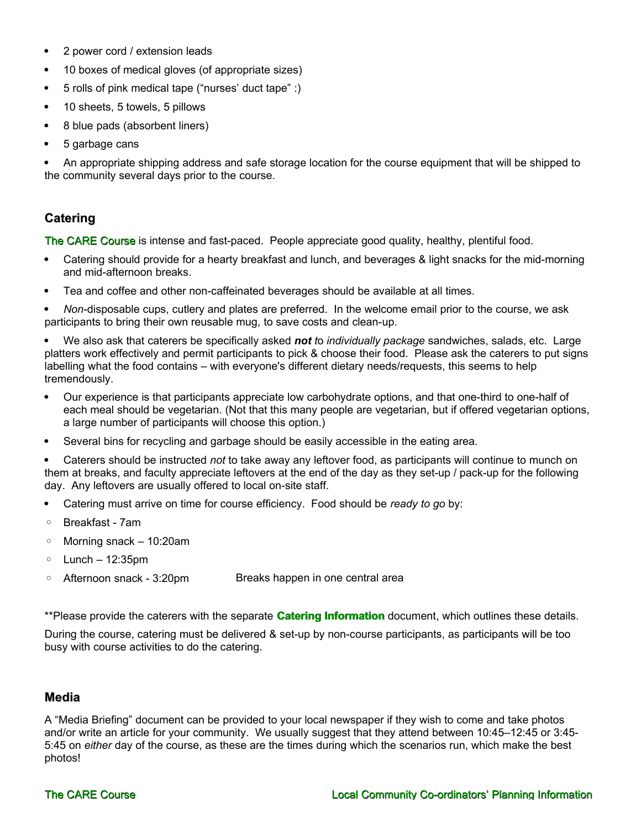- 2 power cord / extension leads
- 10 boxes of medical gloves (of appropriate sizes)
- 5 rolls of pink medical tape ("nurses' duct tape" :)
- 10 sheets, 5 towels, 5 pillows
- 8 blue pads (absorbent liners)
- 5 garbage cans

 An appropriate shipping address and safe storage location for the course equipment that will be shipped to the community several days prior to the course.

### **Catering**

The CARE Course is intense and fast-paced. People appreciate good quality, healthy, plentiful food.

- Catering should provide for a hearty breakfast and lunch, and beverages & light snacks for the mid-morning and mid-afternoon breaks.
- Tea and coffee and other non-caffeinated beverages should be available at all times.

 *Non*-disposable cups, cutlery and plates are preferred. In the welcome email prior to the course, we ask participants to bring their own reusable mug, to save costs and clean-up.

 We also ask that caterers be specifically asked *not t*o *individually package* sandwiches, salads, etc. Large platters work effectively and permit participants to pick & choose their food. Please ask the caterers to put signs labelling what the food contains – with everyone's different dietary needs/requests, this seems to help tremendously.

- Our experience is that participants appreciate low carbohydrate options, and that one-third to one-half of each meal should be vegetarian. (Not that this many people are vegetarian, but if offered vegetarian options, a large number of participants will choose this option.)
- Several bins for recycling and garbage should be easily accessible in the eating area.

 Caterers should be instructed *not* to take away any leftover food, as participants will continue to munch on them at breaks, and faculty appreciate leftovers at the end of the day as they set-up / pack-up for the following day. Any leftovers are usually offered to local on-site staff.

- Catering must arrive on time for course efficiency. Food should be *ready to go* by:
- Breakfast 7am
- Morning snack 10:20am
- Lunch 12:35pm
- Afternoon snack 3:20pm Breaks happen in one central area

\*\*Please provide the caterers with the separate **Catering Information** document, which outlines these details.

During the course, catering must be delivered & set-up by non-course participants, as participants will be too busy with course activities to do the catering.

#### **Media**

A "Media Briefing" document can be provided to your local newspaper if they wish to come and take photos and/or write an article for your community. We usually suggest that they attend between 10:45–12:45 or 3:45- 5:45 on *either* day of the course, as these are the times during which the scenarios run, which make the best photos!